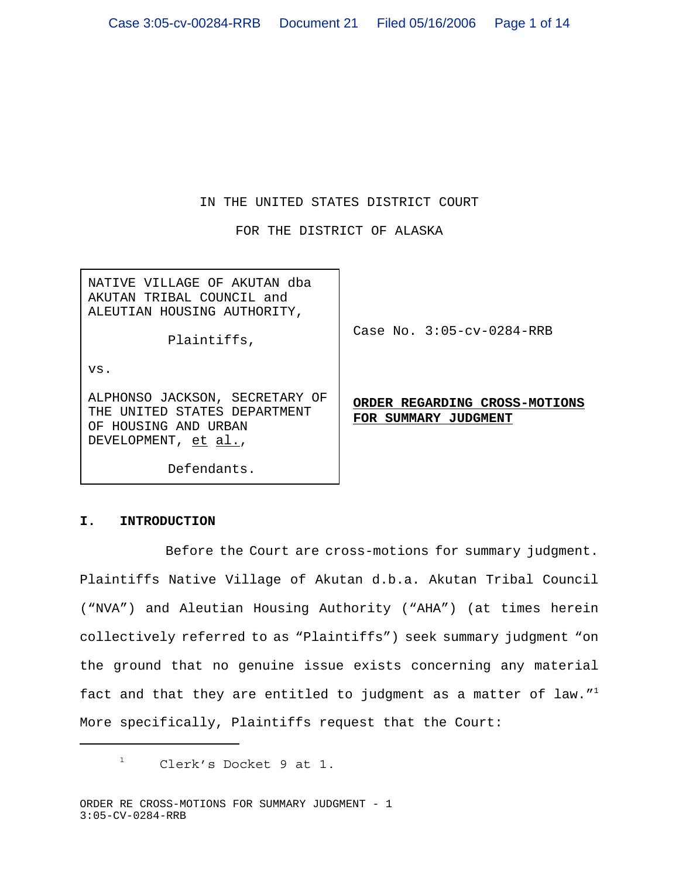# IN THE UNITED STATES DISTRICT COURT

FOR THE DISTRICT OF ALASKA

NATIVE VILLAGE OF AKUTAN dba AKUTAN TRIBAL COUNCIL and ALEUTIAN HOUSING AUTHORITY,

Plaintiffs,

Case No. 3:05-cv-0284-RRB

**ORDER REGARDING CROSS-MOTIONS**

**FOR SUMMARY JUDGMENT**

vs.

ALPHONSO JACKSON, SECRETARY OF THE UNITED STATES DEPARTMENT OF HOUSING AND URBAN DEVELOPMENT, et al.,

Defendants.

# **I. INTRODUCTION**

 Before the Court are cross-motions for summary judgment. Plaintiffs Native Village of Akutan d.b.a. Akutan Tribal Council ("NVA") and Aleutian Housing Authority ("AHA") (at times herein collectively referred to as "Plaintiffs") seek summary judgment "on the ground that no genuine issue exists concerning any material fact and that they are entitled to judgment as a matter of law."<sup>1</sup> More specifically, Plaintiffs request that the Court:

 $1$  Clerk's Docket 9 at 1.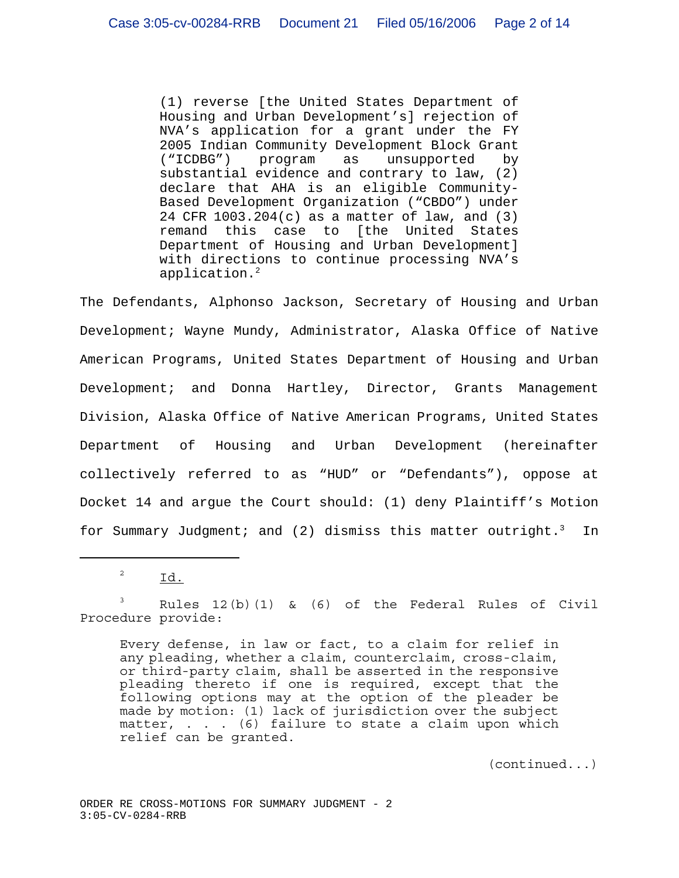(1) reverse [the United States Department of Housing and Urban Development's] rejection of NVA's application for a grant under the FY 2005 Indian Community Development Block Grant ("ICDBG") program as unsupported by substantial evidence and contrary to law, (2) declare that AHA is an eligible Community-Based Development Organization ("CBDO") under 24 CFR 1003.204(c) as a matter of law, and (3) remand this case to [the United States Department of Housing and Urban Development] with directions to continue processing NVA's application.<sup>2</sup>

The Defendants, Alphonso Jackson, Secretary of Housing and Urban Development; Wayne Mundy, Administrator, Alaska Office of Native American Programs, United States Department of Housing and Urban Development; and Donna Hartley, Director, Grants Management Division, Alaska Office of Native American Programs, United States Department of Housing and Urban Development (hereinafter collectively referred to as "HUD" or "Defendants"), oppose at Docket 14 and argue the Court should: (1) deny Plaintiff's Motion for Summary Judgment; and (2) dismiss this matter outright.<sup>3</sup> In

 $\overline{\phantom{a}}^2$  Id.

 $3$  Rules 12(b)(1) & (6) of the Federal Rules of Civil Procedure provide:

Every defense, in law or fact, to a claim for relief in any pleading, whether a claim, counterclaim, cross-claim, or third-party claim, shall be asserted in the responsive pleading thereto if one is required, except that the following options may at the option of the pleader be made by motion: (1) lack of jurisdiction over the subject matter, . . . (6) failure to state a claim upon which relief can be granted.

(continued...)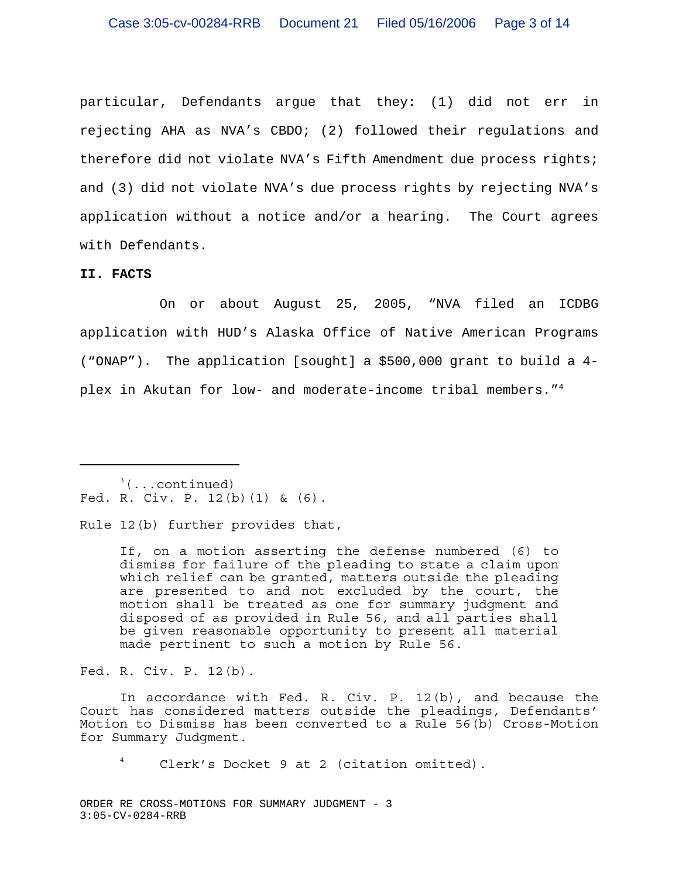particular, Defendants argue that they: (1) did not err in rejecting AHA as NVA's CBDO; (2) followed their regulations and therefore did not violate NVA's Fifth Amendment due process rights; and (3) did not violate NVA's due process rights by rejecting NVA's application without a notice and/or a hearing. The Court agrees with Defendants.

### **II. FACTS**

On or about August 25, 2005, "NVA filed an ICDBG application with HUD's Alaska Office of Native American Programs ("ONAP"). The application [sought] a \$500,000 grant to build a 4 plex in Akutan for low- and moderate-income tribal members."<sup>4</sup>

 $3$ (...continued) Fed. R. Civ. P. 12(b)(1) & (6).

Rule 12(b) further provides that,

If, on a motion asserting the defense numbered (6) to dismiss for failure of the pleading to state a claim upon which relief can be granted, matters outside the pleading are presented to and not excluded by the court, the motion shall be treated as one for summary judgment and disposed of as provided in Rule 56, and all parties shall be given reasonable opportunity to present all material made pertinent to such a motion by Rule 56.

Fed. R. Civ. P. 12(b).

In accordance with Fed. R. Civ. P. 12(b), and because the Court has considered matters outside the pleadings, Defendants' Motion to Dismiss has been converted to a Rule 56(b) Cross-Motion for Summary Judgment.

<sup>4</sup> Clerk's Docket 9 at 2 (citation omitted).

ORDER RE CROSS-MOTIONS FOR SUMMARY JUDGMENT - 3 3:05-CV-0284-RRB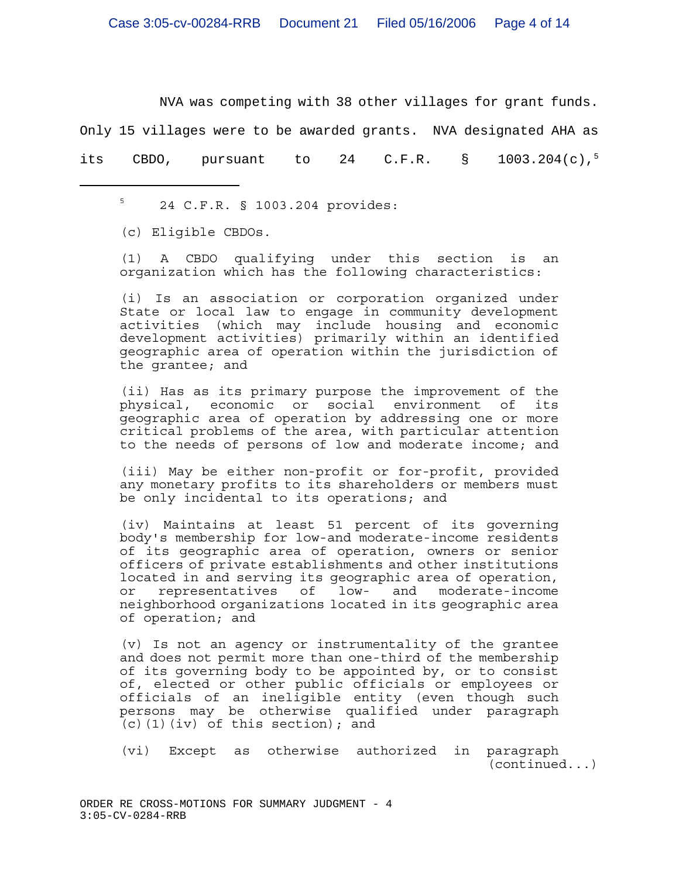NVA was competing with 38 other villages for grant funds.

Only 15 villages were to be awarded grants. NVA designated AHA as

its CBDO, pursuant to 24 C.F.R.  $\S$  1003.204(c),<sup>5</sup>

(c) Eligible CBDOs.

(1) A CBDO qualifying under this section is an organization which has the following characteristics:

(i) Is an association or corporation organized under State or local law to engage in community development activities (which may include housing and economic development activities) primarily within an identified geographic area of operation within the jurisdiction of the grantee; and

(ii) Has as its primary purpose the improvement of the physical, economic or social environment of its geographic area of operation by addressing one or more critical problems of the area, with particular attention to the needs of persons of low and moderate income; and

(iii) May be either non-profit or for-profit, provided any monetary profits to its shareholders or members must be only incidental to its operations; and

(iv) Maintains at least 51 percent of its governing body's membership for low-and moderate-income residents of its geographic area of operation, owners or senior officers of private establishments and other institutions located in and serving its geographic area of operation, or representatives of low- and moderate-income neighborhood organizations located in its geographic area of operation; and

(v) Is not an agency or instrumentality of the grantee and does not permit more than one-third of the membership of its governing body to be appointed by, or to consist of, elected or other public officials or employees or officials of an ineligible entity (even though such persons may be otherwise qualified under paragraph  $(c)$  (1)(iv) of this section); and

(vi) Except as otherwise authorized in paragraph (continued...)

 $5$  24 C.F.R. § 1003.204 provides: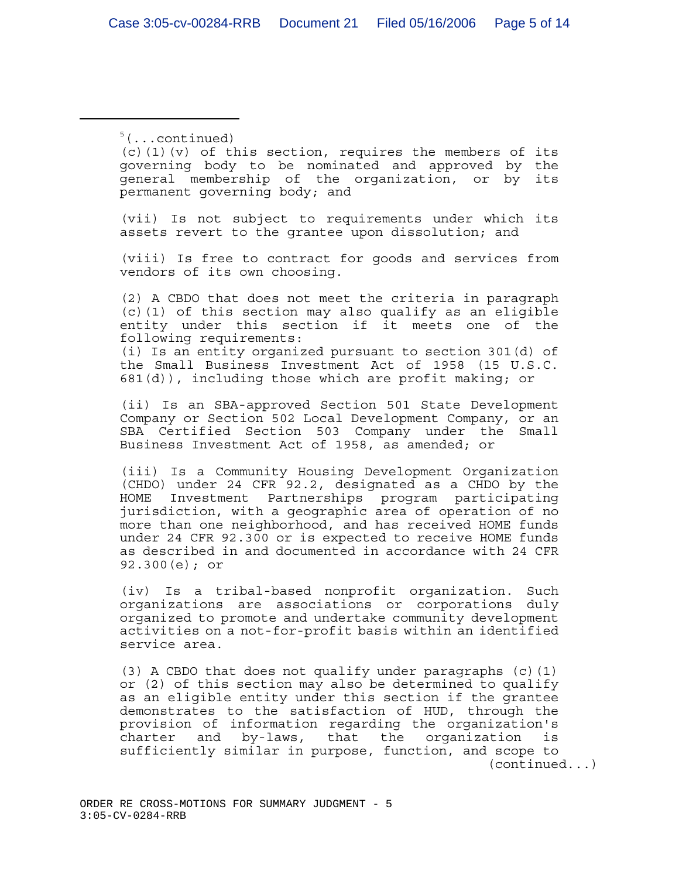$5$ (...continued)

 $(c)$  (1)(v) of this section, requires the members of its governing body to be nominated and approved by the general membership of the organization, or by its permanent governing body; and

(vii) Is not subject to requirements under which its assets revert to the grantee upon dissolution; and

(viii) Is free to contract for goods and services from vendors of its own choosing.

(2) A CBDO that does not meet the criteria in paragraph (c)(1) of this section may also qualify as an eligible entity under this section if it meets one of the following requirements:

(i) Is an entity organized pursuant to section 301(d) of the Small Business Investment Act of 1958 (15 U.S.C. 681(d)), including those which are profit making; or

(ii) Is an SBA-approved Section 501 State Development Company or Section 502 Local Development Company, or an SBA Certified Section 503 Company under the Small Business Investment Act of 1958, as amended; or

(iii) Is a Community Housing Development Organization (CHDO) under 24 CFR 92.2, designated as a CHDO by the HOME Investment Partnerships program participating jurisdiction, with a geographic area of operation of no more than one neighborhood, and has received HOME funds under 24 CFR 92.300 or is expected to receive HOME funds as described in and documented in accordance with 24 CFR 92.300(e); or

(iv) Is a tribal-based nonprofit organization. Such organizations are associations or corporations duly organized to promote and undertake community development activities on a not-for-profit basis within an identified service area.

(3) A CBDO that does not qualify under paragraphs  $(c)$  (1) or (2) of this section may also be determined to qualify as an eligible entity under this section if the grantee demonstrates to the satisfaction of HUD, through the provision of information regarding the organization's charter and by-laws, that the organization is sufficiently similar in purpose, function, and scope to (continued...)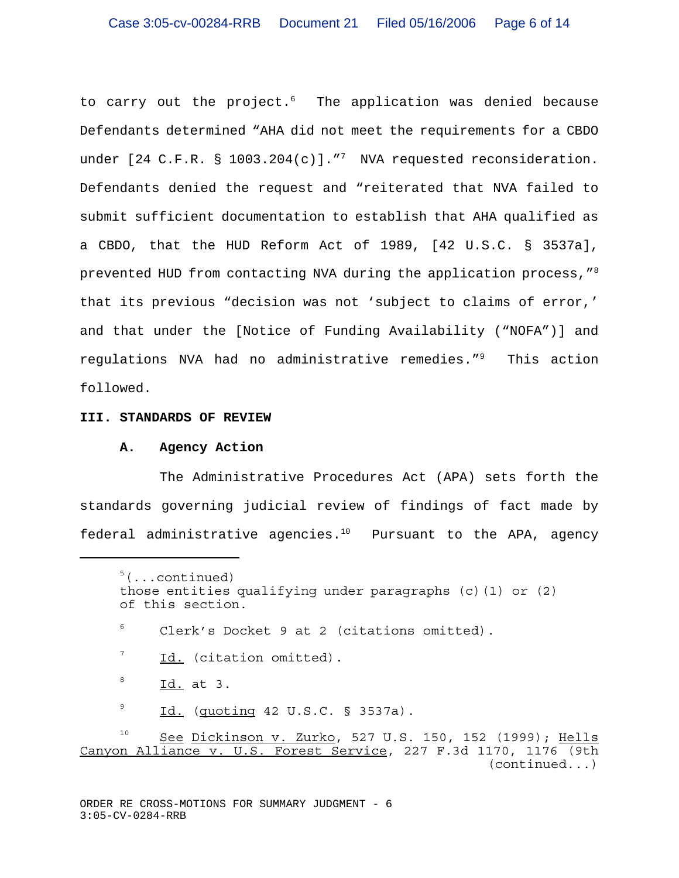to carry out the project.<sup>6</sup> The application was denied because Defendants determined "AHA did not meet the requirements for a CBDO under  $[24 \text{ C.F.R. } $ 1003.204(c)].$  "TWA requested reconsideration. Defendants denied the request and "reiterated that NVA failed to submit sufficient documentation to establish that AHA qualified as a CBDO, that the HUD Reform Act of 1989, [42 U.S.C. § 3537a], prevented HUD from contacting NVA during the application process,"<sup>8</sup> that its previous "decision was not 'subject to claims of error,' and that under the [Notice of Funding Availability ("NOFA")] and regulations NVA had no administrative remedies."9 This action followed.

#### **III. STANDARDS OF REVIEW**

#### **A. Agency Action**

The Administrative Procedures Act (APA) sets forth the standards governing judicial review of findings of fact made by federal administrative agencies. $10$  Pursuant to the APA, agency

 $5$ (...continued) those entities qualifying under paragraphs (c)(1) or (2) of this section. <sup>6</sup> Clerk's Docket 9 at 2 (citations omitted).

 $<sup>7</sup>$  Id. (citation omitted).</sup>

 $8$  Id. at 3.

 $\frac{9}{10}$  Id. (quoting 42 U.S.C. § 3537a).

<sup>&</sup>lt;sup>10</sup> See Dickinson v. Zurko, 527 U.S. 150, 152 (1999); Hells Canyon Alliance v. U.S. Forest Service, 227 F.3d 1170, 1176 (9th (continued...)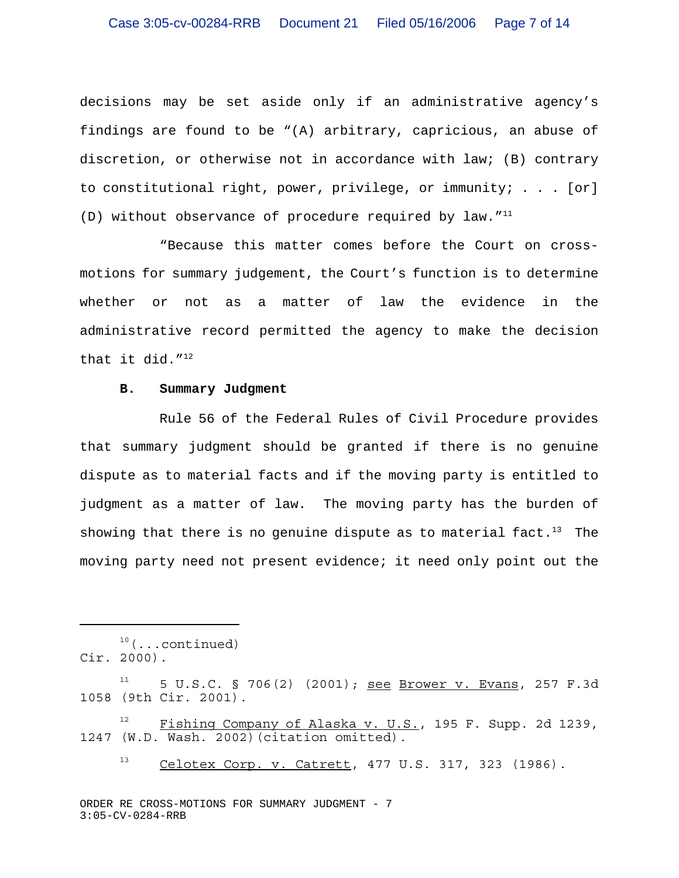decisions may be set aside only if an administrative agency's findings are found to be "(A) arbitrary, capricious, an abuse of discretion, or otherwise not in accordance with law; (B) contrary to constitutional right, power, privilege, or immunity; . . . [or] (D) without observance of procedure required by law."<sup>11</sup>

"Because this matter comes before the Court on crossmotions for summary judgement, the Court's function is to determine whether or not as a matter of law the evidence in the administrative record permitted the agency to make the decision that it did.  $''^{12}$ 

#### **B. Summary Judgment**

Rule 56 of the Federal Rules of Civil Procedure provides that summary judgment should be granted if there is no genuine dispute as to material facts and if the moving party is entitled to judgment as a matter of law. The moving party has the burden of showing that there is no genuine dispute as to material fact.<sup>13</sup> The moving party need not present evidence; it need only point out the

 $10$  (...continued)

Cir. 2000).

 $11$  5 U.S.C. § 706(2) (2001); see Brower v. Evans, 257 F.3d 1058 (9th Cir. 2001).

 $12$  Fishing Company of Alaska v. U.S., 195 F. Supp. 2d 1239, 1247 (W.D. Wash. 2002)(citation omitted).

 $13$  Celotex Corp. v. Catrett, 477 U.S. 317, 323 (1986).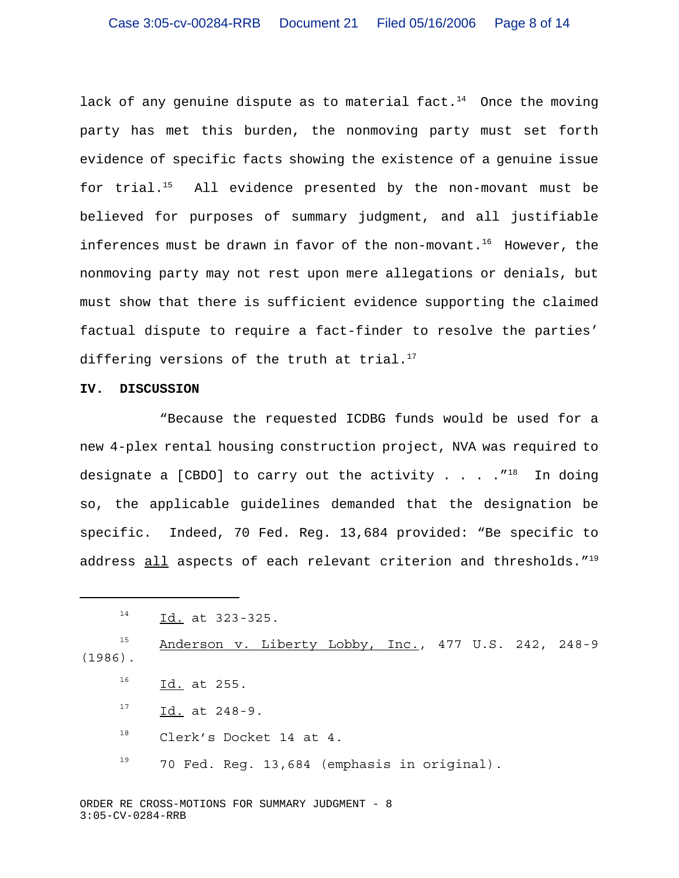lack of any genuine dispute as to material fact.<sup>14</sup> Once the moving party has met this burden, the nonmoving party must set forth evidence of specific facts showing the existence of a genuine issue for trial. $15$  All evidence presented by the non-movant must be believed for purposes of summary judgment, and all justifiable inferences must be drawn in favor of the non-movant.<sup>16</sup> However, the nonmoving party may not rest upon mere allegations or denials, but must show that there is sufficient evidence supporting the claimed factual dispute to require a fact-finder to resolve the parties' differing versions of the truth at trial. $17$ 

#### **IV. DISCUSSION**

"Because the requested ICDBG funds would be used for a new 4-plex rental housing construction project, NVA was required to designate a [CBDO] to carry out the activity . . . .  $T^{18}$  In doing so, the applicable guidelines demanded that the designation be specific. Indeed, 70 Fed. Reg. 13,684 provided: "Be specific to address all aspects of each relevant criterion and thresholds."<sup>19</sup>

<sup>15</sup> Anderson v. Liberty Lobby, Inc., 477 U.S. 242, 248-9 (1986).  $^{16}$  Id. at 255.

- 
- $17$  Id. at 248-9.
- 18 Clerk's Docket 14 at 4.
- $19$  70 Fed. Reg. 13,684 (emphasis in original).

 $^{14}$  Id. at 323-325.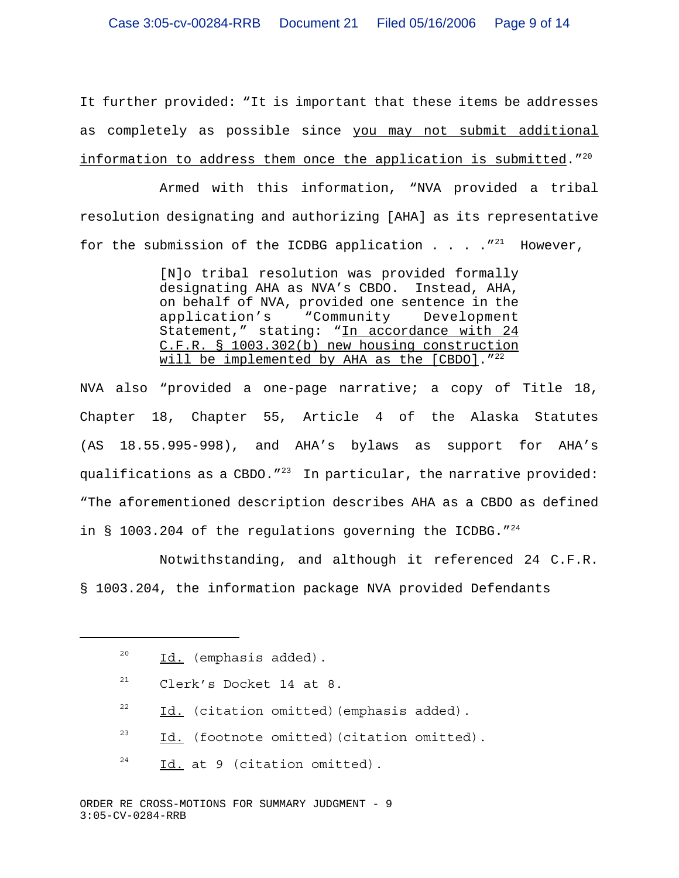It further provided: "It is important that these items be addresses as completely as possible since you may not submit additional information to address them once the application is submitted.  $720$ 

Armed with this information, "NVA provided a tribal resolution designating and authorizing [AHA] as its representative for the submission of the ICDBG application . . .  $\cdot$   $\cdot$   $\cdot$  However,

> [N]o tribal resolution was provided formally designating AHA as NVA's CBDO. Instead, AHA, on behalf of NVA, provided one sentence in the application's "Community Development Statement," stating: "In accordance with 24 C.F.R. § 1003.302(b) new housing construction will be implemented by AHA as the [CBDO]."<sup>22</sup>

NVA also "provided a one-page narrative; a copy of Title 18, Chapter 18, Chapter 55, Article 4 of the Alaska Statutes (AS 18.55.995-998), and AHA's bylaws as support for AHA's qualifications as a CBDO. $123$  In particular, the narrative provided: "The aforementioned description describes AHA as a CBDO as defined in § 1003.204 of the regulations governing the ICDBG." $^{24}$ 

Notwithstanding, and although it referenced 24 C.F.R. § 1003.204, the information package NVA provided Defendants

- $21$  Clerk's Docket 14 at 8.
- $22$  Id. (citation omitted) (emphasis added).
- $23$  Id. (footnote omitted) (citation omitted).
- $24$  Id. at 9 (citation omitted).

 $^{20}$  Id. (emphasis added).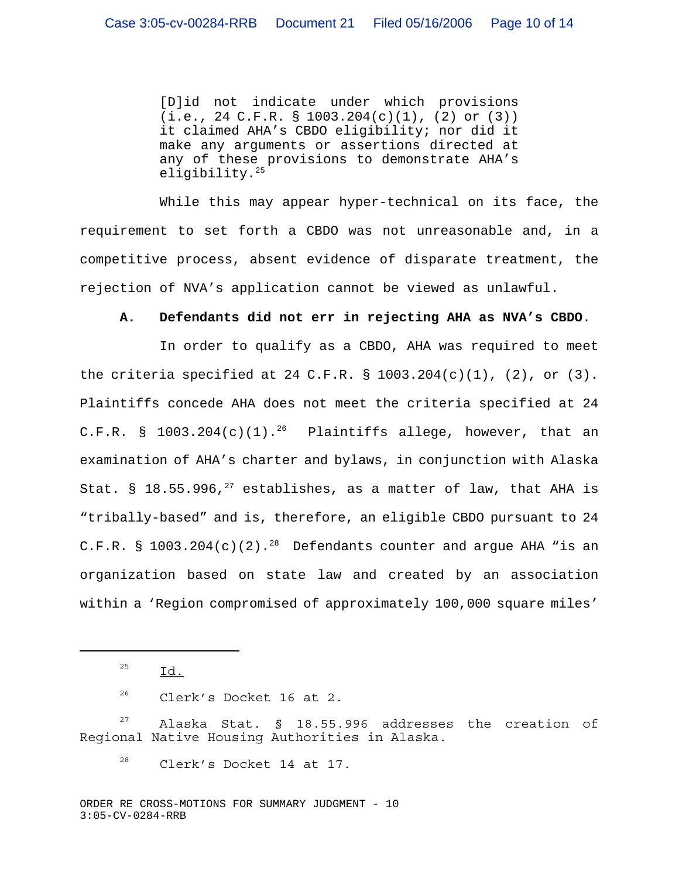[D]id not indicate under which provisions (i.e., 24 C.F.R. § 1003.204(c)(1), (2) or (3)) it claimed AHA's CBDO eligibility; nor did it make any arguments or assertions directed at any of these provisions to demonstrate AHA's eligibility.<sup>25</sup>

While this may appear hyper-technical on its face, the requirement to set forth a CBDO was not unreasonable and, in a competitive process, absent evidence of disparate treatment, the rejection of NVA's application cannot be viewed as unlawful.

## **A. Defendants did not err in rejecting AHA as NVA's CBDO**.

In order to qualify as a CBDO, AHA was required to meet the criteria specified at 24 C.F.R. §  $1003.204(c)(1)$ , (2), or (3). Plaintiffs concede AHA does not meet the criteria specified at 24 C.F.R. §  $1003.204(c)(1).^{26}$  Plaintiffs allege, however, that an examination of AHA's charter and bylaws, in conjunction with Alaska Stat. § 18.55.996,<sup>27</sup> establishes, as a matter of law, that AHA is "tribally-based" and is, therefore, an eligible CBDO pursuant to 24 C.F.R. §  $1003.204(c)(2).^{28}$  Defendants counter and argue AHA "is an organization based on state law and created by an association within a 'Region compromised of approximately 100,000 square miles'

 $^{25}$  Id.

<sup>26</sup> Clerk's Docket 16 at 2.

 $27$  Alaska Stat. § 18.55.996 addresses the creation of Regional Native Housing Authorities in Alaska.

 $28$  Clerk's Docket 14 at 17.

ORDER RE CROSS-MOTIONS FOR SUMMARY JUDGMENT - 10 3:05-CV-0284-RRB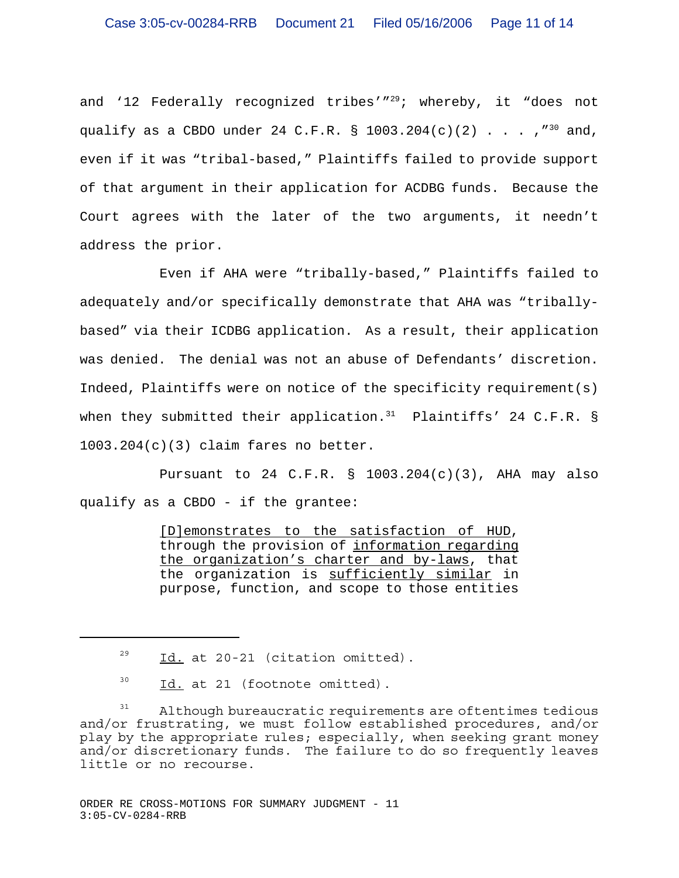and '12 Federally recognized tribes'"<sup>29</sup>; whereby, it "does not qualify as a CBDO under 24 C.F.R. § 1003.204(c)(2)  $\ldots$ ,  $\ldots$  ,  $\ldots$  and, even if it was "tribal-based," Plaintiffs failed to provide support of that argument in their application for ACDBG funds. Because the Court agrees with the later of the two arguments, it needn't address the prior.

Even if AHA were "tribally-based," Plaintiffs failed to adequately and/or specifically demonstrate that AHA was "triballybased" via their ICDBG application. As a result, their application was denied. The denial was not an abuse of Defendants' discretion. Indeed, Plaintiffs were on notice of the specificity requirement(s) when they submitted their application.<sup>31</sup> Plaintiffs' 24 C.F.R. § 1003.204(c)(3) claim fares no better.

Pursuant to 24 C.F.R.  $\S$  1003.204(c)(3), AHA may also qualify as a CBDO - if the grantee:

> [D]emonstrates to the satisfaction of HUD, through the provision of information regarding the organization's charter and by-laws, that the organization is sufficiently similar in purpose, function, and scope to those entities

 $\frac{29}{10}$  Id. at 20-21 (citation omitted).

 $30$  Id. at 21 (footnote omitted).

 $31$  Although bureaucratic requirements are oftentimes tedious and/or frustrating, we must follow established procedures, and/or play by the appropriate rules; especially, when seeking grant money and/or discretionary funds. The failure to do so frequently leaves little or no recourse.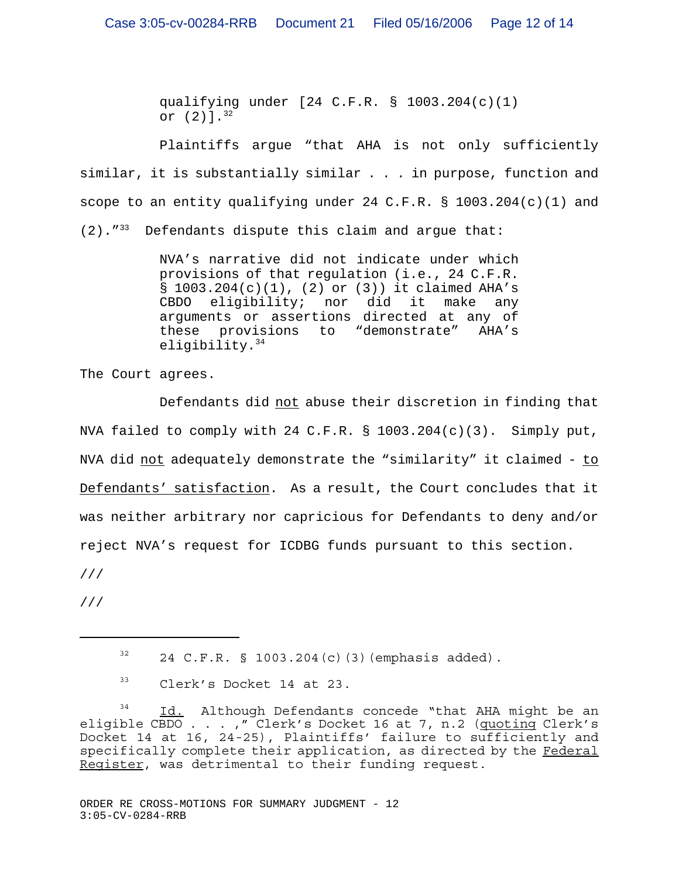qualifying under [24 C.F.R. § 1003.204(c)(1) or (2)].32

Plaintiffs argue "that AHA is not only sufficiently similar, it is substantially similar . . . in purpose, function and scope to an entity qualifying under 24 C.F.R. § 1003.204(c)(1) and  $(2)$ .  $''^{33}$  Defendants dispute this claim and argue that:

> NVA's narrative did not indicate under which provisions of that regulation (i.e., 24 C.F.R. § 1003.204(c)(1), (2) or (3)) it claimed AHA's CBDO eligibility; nor did it make any arguments or assertions directed at any of these provisions to "demonstrate" AHA's eligibility.<sup>34</sup>

The Court agrees.

Defendants did not abuse their discretion in finding that NVA failed to comply with 24 C.F.R. § 1003.204(c)(3). Simply put, NVA did not adequately demonstrate the "similarity" it claimed - to Defendants' satisfaction. As a result, the Court concludes that it was neither arbitrary nor capricious for Defendants to deny and/or reject NVA's request for ICDBG funds pursuant to this section. ///

///

 $32$  24 C.F.R. § 1003.204(c)(3)(emphasis added).

 $33$  Clerk's Docket 14 at 23.

<sup>34</sup> Id. Although Defendants concede "that AHA might be an eligible CBDO . . . , " Clerk's Docket 16 at 7, n.2 (quoting Clerk's Docket 14 at 16, 24-25), Plaintiffs' failure to sufficiently and specifically complete their application, as directed by the Federal Register, was detrimental to their funding request.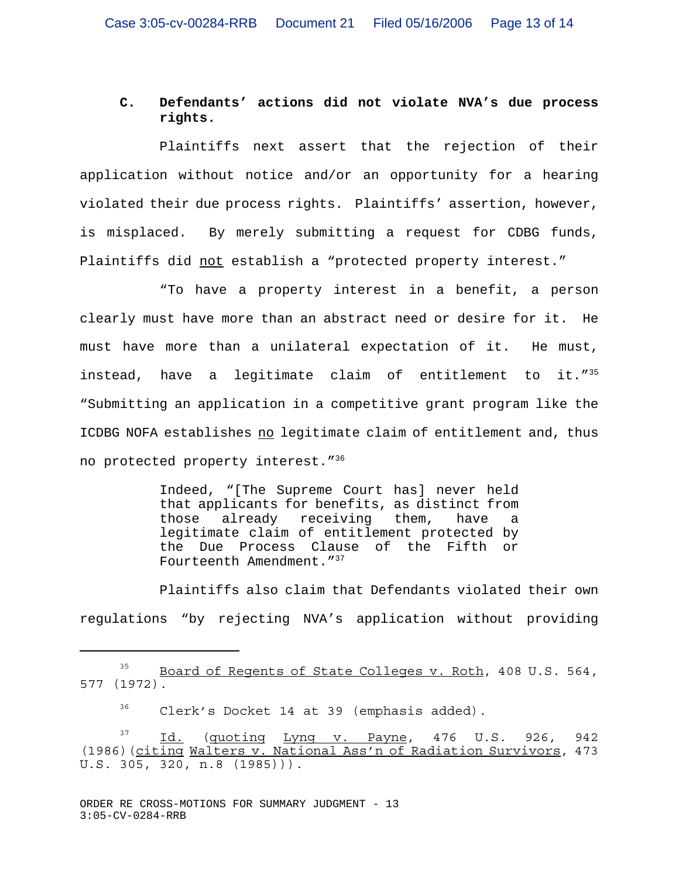# **C. Defendants' actions did not violate NVA's due process rights.**

Plaintiffs next assert that the rejection of their application without notice and/or an opportunity for a hearing violated their due process rights. Plaintiffs' assertion, however, is misplaced. By merely submitting a request for CDBG funds, Plaintiffs did not establish a "protected property interest."

"To have a property interest in a benefit, a person clearly must have more than an abstract need or desire for it. He must have more than a unilateral expectation of it. He must, instead, have a legitimate claim of entitlement to it."35 "Submitting an application in a competitive grant program like the ICDBG NOFA establishes no legitimate claim of entitlement and, thus no protected property interest."<sup>36</sup>

> Indeed, "[The Supreme Court has] never held that applicants for benefits, as distinct from those already receiving them, have a legitimate claim of entitlement protected by the Due Process Clause of the Fifth or Fourteenth Amendment."<sup>37</sup>

Plaintiffs also claim that Defendants violated their own regulations "by rejecting NVA's application without providing

<sup>36</sup> Clerk's Docket 14 at 39 (emphasis added).

<sup>&</sup>lt;sup>35</sup> Board of Regents of State Colleges v. Roth, 408 U.S. 564, 577 (1972).

 $\frac{37}{10}$  Id. (quoting Lyng v. Payne, 476 U.S. 926, 942 (1986)(citing Walters v. National Ass'n of Radiation Survivors, 473 U.S. 305, 320, n.8 (1985))).